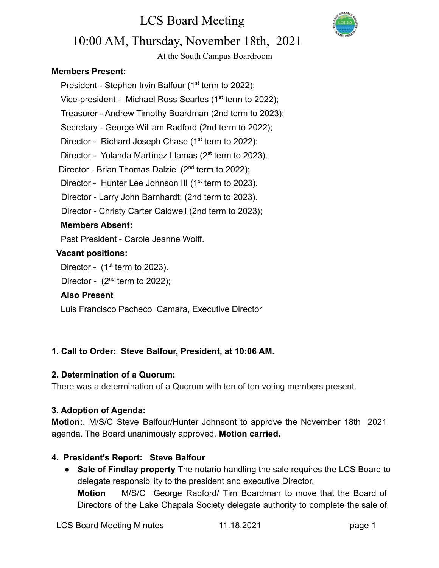# LCS Board Meeting



### 10:00 AM, Thursday, November 18th, 2021

At the South Campus Boardroom

#### **Members Present:**

President - Stephen Irvin Balfour ( $1<sup>st</sup>$  term to 2022); Vice-president - Michael Ross Searles (1<sup>st</sup> term to 2022); Treasurer - Andrew Timothy Boardman (2nd term to 2023); Secretary - George William Radford (2nd term to 2022); Director - Richard Joseph Chase  $(1<sup>st</sup>$  term to 2022); Director - Yolanda Martínez Llamas (2<sup>st</sup> term to 2023). Director - Brian Thomas Dalziel (2<sup>nd</sup> term to 2022); Director - Hunter Lee Johnson III ( $1<sup>st</sup>$  term to 2023). Director - Larry John Barnhardt; (2nd term to 2023). Director - Christy Carter Caldwell (2nd term to 2023);

#### **Members Absent:**

Past President - Carole Jeanne Wolff.

#### **Vacant positions:**

Director -  $(1<sup>st</sup>$  term to 2023).

Director -  $(2^{nd}$  term to 2022);

#### **Also Present**

Luis Francisco Pacheco Camara, Executive Director

#### **1. Call to Order: Steve Balfour, President, at 10:06 AM.**

#### **2. Determination of a Quorum:**

There was a determination of a Quorum with ten of ten voting members present.

#### **3. Adoption of Agenda:**

**Motion:**. M/S/C Steve Balfour/Hunter Johnsont to approve the November 18th 2021 agenda. The Board unanimously approved. **Motion carried.**

#### **4. President's Report: Steve Balfour**

● **Sale of Findlay property** The notario handling the sale requires the LCS Board to delegate responsibility to the president and executive Director. **Motion** M/S/C George Radford/ Tim Boardman to move that the Board of Directors of the Lake Chapala Society delegate authority to complete the sale of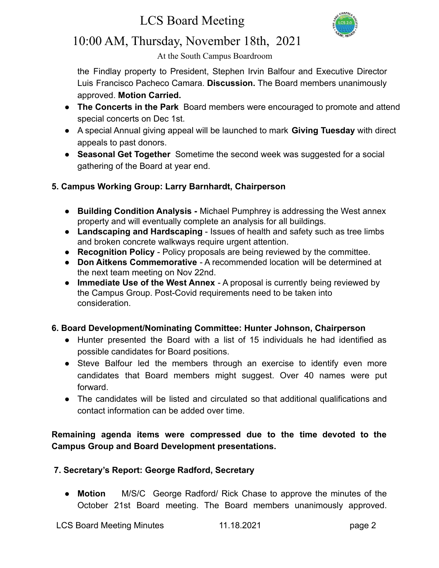# LCS Board Meeting



## 10:00 AM, Thursday, November 18th, 2021

At the South Campus Boardroom

the Findlay property to President, Stephen Irvin Balfour and Executive Director Luis Francisco Pacheco Camara. **Discussion.** The Board members unanimously approved. **Motion Carried.**

- **The Concerts in the Park** Board members were encouraged to promote and attend special concerts on Dec 1st.
- A special Annual giving appeal will be launched to mark **Giving Tuesday** with direct appeals to past donors.
- **● Seasonal Get Together** Sometime the second week was suggested for a social gathering of the Board at year end.

#### **5. Campus Working Group: Larry Barnhardt, Chairperson**

- **Building Condition Analysis -** Michael Pumphrey is addressing the West annex property and will eventually complete an analysis for all buildings.
- **Landscaping and Hardscaping** Issues of health and safety such as tree limbs and broken concrete walkways require urgent attention.
- **Recognition Policy** Policy proposals are being reviewed by the committee.
- **Don Aitkens Commemorative** A recommended location will be determined at the next team meeting on Nov 22nd.
- **Immediate Use of the West Annex** A proposal is currently being reviewed by the Campus Group. Post-Covid requirements need to be taken into consideration.

#### **6. Board Development/Nominating Committee: Hunter Johnson, Chairperson**

- **●** Hunter presented the Board with a list of 15 individuals he had identified as possible candidates for Board positions.
- Steve Balfour led the members through an exercise to identify even more candidates that Board members might suggest. Over 40 names were put forward.
- The candidates will be listed and circulated so that additional qualifications and contact information can be added over time.

#### **Remaining agenda items were compressed due to the time devoted to the Campus Group and Board Development presentations.**

#### **7. Secretary's Report: George Radford, Secretary**

● **Motion** M/S/C George Radford/ Rick Chase to approve the minutes of the October 21st Board meeting. The Board members unanimously approved.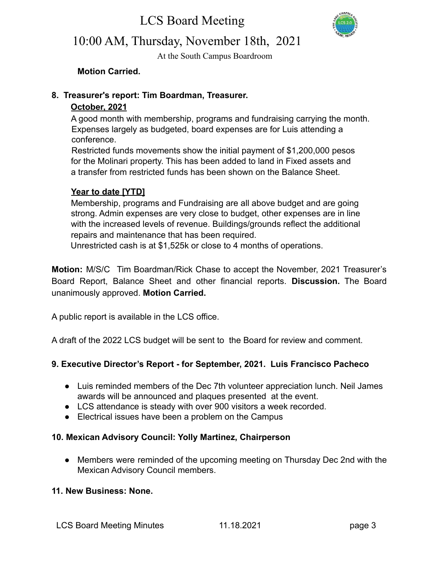

# 10:00 AM, Thursday, November 18th, 2021

At the South Campus Boardroom

**Motion Carried.**

#### **8. Treasurer's report: Tim Boardman, Treasurer.**

#### **October, 2021**

A good month with membership, programs and fundraising carrying the month. Expenses largely as budgeted, board expenses are for Luis attending a conference.

Restricted funds movements show the initial payment of \$1,200,000 pesos for the Molinari property. This has been added to land in Fixed assets and a transfer from restricted funds has been shown on the Balance Sheet.

#### **Year to date [YTD]**

Membership, programs and Fundraising are all above budget and are going strong. Admin expenses are very close to budget, other expenses are in line with the increased levels of revenue. Buildings/grounds reflect the additional repairs and maintenance that has been required.

Unrestricted cash is at \$1,525k or close to 4 months of operations.

**Motion:** M/S/C Tim Boardman/Rick Chase to accept the November, 2021 Treasurer's Board Report, Balance Sheet and other financial reports. **Discussion.** The Board unanimously approved. **Motion Carried.**

A public report is available in the LCS office.

A draft of the 2022 LCS budget will be sent to the Board for review and comment.

#### **9. Executive Director's Report - for September, 2021. Luis Francisco Pacheco**

- Luis reminded members of the Dec 7th volunteer appreciation lunch. Neil James awards will be announced and plaques presented at the event.
- LCS attendance is steady with over 900 visitors a week recorded.
- Electrical issues have been a problem on the Campus

#### **10. Mexican Advisory Council: Yolly Martinez, Chairperson**

● Members were reminded of the upcoming meeting on Thursday Dec 2nd with the Mexican Advisory Council members.

#### **11. New Business: None.**